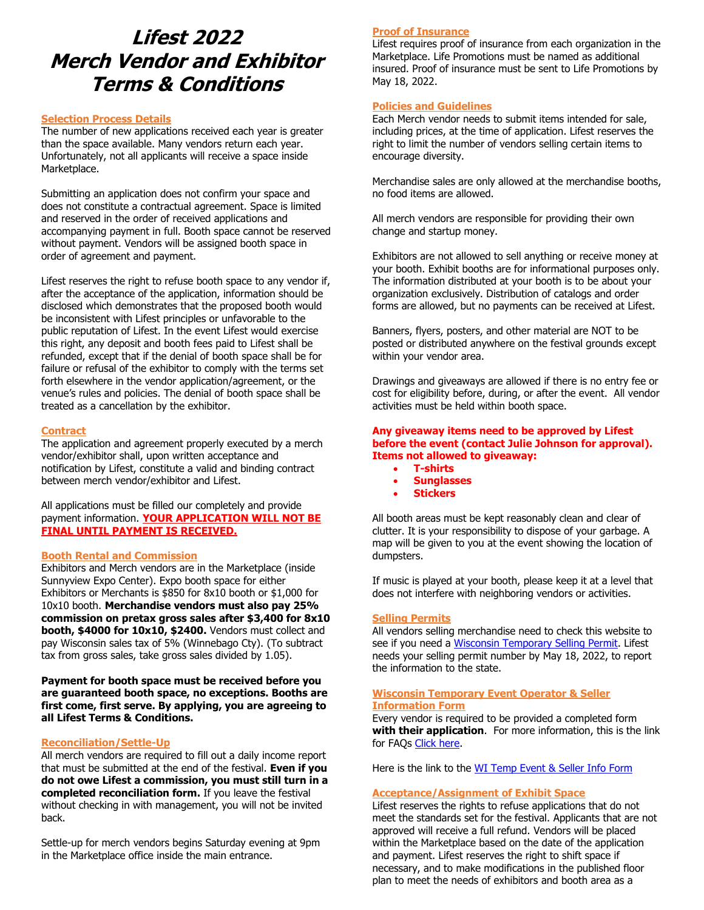# **Lifest 2022 Merch Vendor and Exhibitor Terms & Conditions**

## **Selection Process Details**

The number of new applications received each year is greater than the space available. Many vendors return each year. Unfortunately, not all applicants will receive a space inside Marketplace.

Submitting an application does not confirm your space and does not constitute a contractual agreement. Space is limited and reserved in the order of received applications and accompanying payment in full. Booth space cannot be reserved without payment. Vendors will be assigned booth space in order of agreement and payment.

Lifest reserves the right to refuse booth space to any vendor if, after the acceptance of the application, information should be disclosed which demonstrates that the proposed booth would be inconsistent with Lifest principles or unfavorable to the public reputation of Lifest. In the event Lifest would exercise this right, any deposit and booth fees paid to Lifest shall be refunded, except that if the denial of booth space shall be for failure or refusal of the exhibitor to comply with the terms set forth elsewhere in the vendor application/agreement, or the venue's rules and policies. The denial of booth space shall be treated as a cancellation by the exhibitor.

# **Contract**

The application and agreement properly executed by a merch vendor/exhibitor shall, upon written acceptance and notification by Lifest, constitute a valid and binding contract between merch vendor/exhibitor and Lifest.

All applications must be filled our completely and provide payment information. **YOUR APPLICATION WILL NOT BE FINAL UNTIL PAYMENT IS RECEIVED.** 

# **Booth Rental and Commission**

Exhibitors and Merch vendors are in the Marketplace (inside Sunnyview Expo Center). Expo booth space for either Exhibitors or Merchants is \$850 for 8x10 booth or \$1,000 for 10x10 booth. **Merchandise vendors must also pay 25% commission on pretax gross sales after \$3,400 for 8x10 booth, \$4000 for 10x10, \$2400.** Vendors must collect and pay Wisconsin sales tax of 5% (Winnebago Cty). (To subtract tax from gross sales, take gross sales divided by 1.05).

**Payment for booth space must be received before you are guaranteed booth space, no exceptions. Booths are first come, first serve. By applying, you are agreeing to all Lifest Terms & Conditions.** 

# **Reconciliation/Settle-Up**

All merch vendors are required to fill out a daily income report that must be submitted at the end of the festival. **Even if you do not owe Lifest a commission, you must still turn in a completed reconciliation form.** If you leave the festival without checking in with management, you will not be invited back.

Settle-up for merch vendors begins Saturday evening at 9pm in the Marketplace office inside the main entrance.

# **Proof of Insurance**

Lifest requires proof of insurance from each organization in the Marketplace. Life Promotions must be named as additional insured. Proof of insurance must be sent to Life Promotions by May 18, 2022.

# **Policies and Guidelines**

Each Merch vendor needs to submit items intended for sale, including prices, at the time of application. Lifest reserves the right to limit the number of vendors selling certain items to encourage diversity.

Merchandise sales are only allowed at the merchandise booths, no food items are allowed.

All merch vendors are responsible for providing their own change and startup money.

Exhibitors are not allowed to sell anything or receive money at your booth. Exhibit booths are for informational purposes only. The information distributed at your booth is to be about your organization exclusively. Distribution of catalogs and order forms are allowed, but no payments can be received at Lifest.

Banners, flyers, posters, and other material are NOT to be posted or distributed anywhere on the festival grounds except within your vendor area.

Drawings and giveaways are allowed if there is no entry fee or cost for eligibility before, during, or after the event. All vendor activities must be held within booth space.

# **Any giveaway items need to be approved by Lifest before the event (contact Julie Johnson for approval). Items not allowed to giveaway:**

- **T-shirts**
- **Sunglasses**
- **Stickers**

All booth areas must be kept reasonably clean and clear of clutter. It is your responsibility to dispose of your garbage. A map will be given to you at the event showing the location of dumpsters.

If music is played at your booth, please keep it at a level that does not interfere with neighboring vendors or activities.

# **Selling Permits**

All vendors selling merchandise need to check this website to see if you need a [Wisconsin Temporary Selling Permit.](https://www.revenue.wi.gov/html/tempsell.html) Lifest needs your selling permit number by May 18, 2022, to report the information to the state.

#### **Wisconsin Temporary Event Operator & Seller Information Form**

Every vendor is required to be provided a completed form **with their application**. For more information, this is the link for FAQs [Click here.](https://www.revenue.wi.gov/Pages/FAQS/ise-wtep.aspx#wtep5)

Here is the link to the [WI Temp Event & Seller Info Form](https://www.revenue.wi.gov/DORForms/s-240f.pdf)

# **Acceptance/Assignment of Exhibit Space**

Lifest reserves the rights to refuse applications that do not meet the standards set for the festival. Applicants that are not approved will receive a full refund. Vendors will be placed within the Marketplace based on the date of the application and payment. Lifest reserves the right to shift space if necessary, and to make modifications in the published floor plan to meet the needs of exhibitors and booth area as a